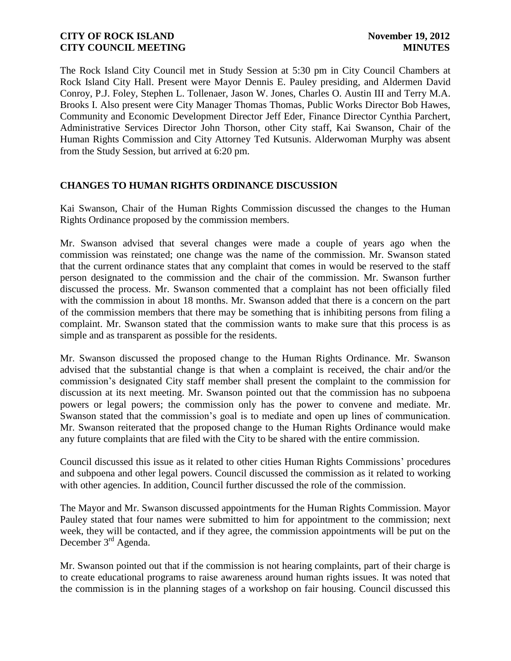The Rock Island City Council met in Study Session at 5:30 pm in City Council Chambers at Rock Island City Hall. Present were Mayor Dennis E. Pauley presiding, and Aldermen David Conroy, P.J. Foley, Stephen L. Tollenaer, Jason W. Jones, Charles O. Austin III and Terry M.A. Brooks I. Also present were City Manager Thomas Thomas, Public Works Director Bob Hawes, Community and Economic Development Director Jeff Eder, Finance Director Cynthia Parchert, Administrative Services Director John Thorson, other City staff, Kai Swanson, Chair of the Human Rights Commission and City Attorney Ted Kutsunis. Alderwoman Murphy was absent from the Study Session, but arrived at 6:20 pm.

# **CHANGES TO HUMAN RIGHTS ORDINANCE DISCUSSION**

Kai Swanson, Chair of the Human Rights Commission discussed the changes to the Human Rights Ordinance proposed by the commission members.

Mr. Swanson advised that several changes were made a couple of years ago when the commission was reinstated; one change was the name of the commission. Mr. Swanson stated that the current ordinance states that any complaint that comes in would be reserved to the staff person designated to the commission and the chair of the commission. Mr. Swanson further discussed the process. Mr. Swanson commented that a complaint has not been officially filed with the commission in about 18 months. Mr. Swanson added that there is a concern on the part of the commission members that there may be something that is inhibiting persons from filing a complaint. Mr. Swanson stated that the commission wants to make sure that this process is as simple and as transparent as possible for the residents.

Mr. Swanson discussed the proposed change to the Human Rights Ordinance. Mr. Swanson advised that the substantial change is that when a complaint is received, the chair and/or the commission's designated City staff member shall present the complaint to the commission for discussion at its next meeting. Mr. Swanson pointed out that the commission has no subpoena powers or legal powers; the commission only has the power to convene and mediate. Mr. Swanson stated that the commission's goal is to mediate and open up lines of communication. Mr. Swanson reiterated that the proposed change to the Human Rights Ordinance would make any future complaints that are filed with the City to be shared with the entire commission.

Council discussed this issue as it related to other cities Human Rights Commissions' procedures and subpoena and other legal powers. Council discussed the commission as it related to working with other agencies. In addition, Council further discussed the role of the commission.

The Mayor and Mr. Swanson discussed appointments for the Human Rights Commission. Mayor Pauley stated that four names were submitted to him for appointment to the commission; next week, they will be contacted, and if they agree, the commission appointments will be put on the December 3rd Agenda.

Mr. Swanson pointed out that if the commission is not hearing complaints, part of their charge is to create educational programs to raise awareness around human rights issues. It was noted that the commission is in the planning stages of a workshop on fair housing. Council discussed this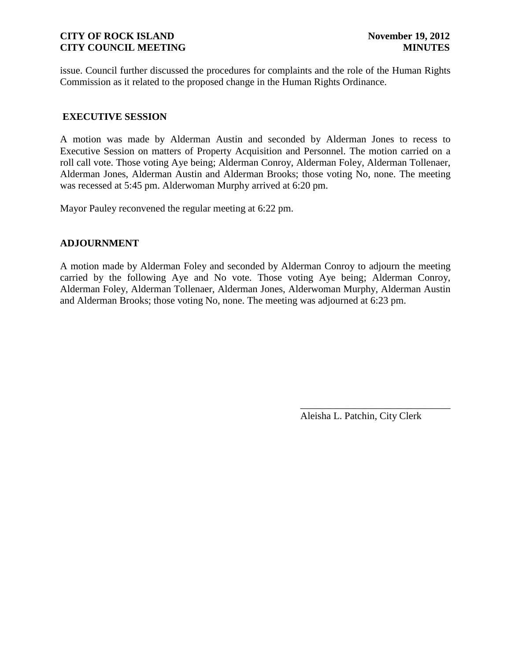issue. Council further discussed the procedures for complaints and the role of the Human Rights Commission as it related to the proposed change in the Human Rights Ordinance.

# **EXECUTIVE SESSION**

A motion was made by Alderman Austin and seconded by Alderman Jones to recess to Executive Session on matters of Property Acquisition and Personnel. The motion carried on a roll call vote. Those voting Aye being; Alderman Conroy, Alderman Foley, Alderman Tollenaer, Alderman Jones, Alderman Austin and Alderman Brooks; those voting No, none. The meeting was recessed at 5:45 pm. Alderwoman Murphy arrived at 6:20 pm.

Mayor Pauley reconvened the regular meeting at 6:22 pm.

### **ADJOURNMENT**

A motion made by Alderman Foley and seconded by Alderman Conroy to adjourn the meeting carried by the following Aye and No vote. Those voting Aye being; Alderman Conroy, Alderman Foley, Alderman Tollenaer, Alderman Jones, Alderwoman Murphy, Alderman Austin and Alderman Brooks; those voting No, none. The meeting was adjourned at 6:23 pm.

Aleisha L. Patchin, City Clerk

\_\_\_\_\_\_\_\_\_\_\_\_\_\_\_\_\_\_\_\_\_\_\_\_\_\_\_\_\_\_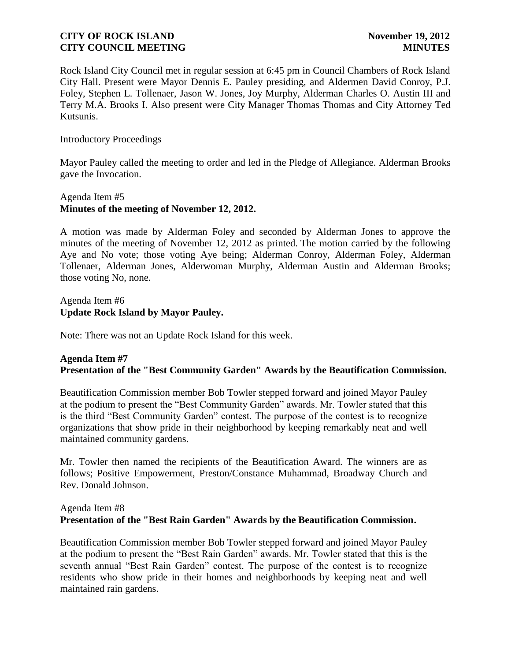Rock Island City Council met in regular session at 6:45 pm in Council Chambers of Rock Island City Hall. Present were Mayor Dennis E. Pauley presiding, and Aldermen David Conroy, P.J. Foley, Stephen L. Tollenaer, Jason W. Jones, Joy Murphy, Alderman Charles O. Austin III and Terry M.A. Brooks I. Also present were City Manager Thomas Thomas and City Attorney Ted Kutsunis.

Introductory Proceedings

Mayor Pauley called the meeting to order and led in the Pledge of Allegiance. Alderman Brooks gave the Invocation.

# Agenda Item #5 **Minutes of the meeting of November 12, 2012.**

A motion was made by Alderman Foley and seconded by Alderman Jones to approve the minutes of the meeting of November 12, 2012 as printed. The motion carried by the following Aye and No vote; those voting Aye being; Alderman Conroy, Alderman Foley, Alderman Tollenaer, Alderman Jones, Alderwoman Murphy, Alderman Austin and Alderman Brooks; those voting No, none.

Agenda Item #6 **Update Rock Island by Mayor Pauley.**

Note: There was not an Update Rock Island for this week.

# **Agenda Item #7 Presentation of the "Best Community Garden" Awards by the Beautification Commission.**

Beautification Commission member Bob Towler stepped forward and joined Mayor Pauley at the podium to present the "Best Community Garden" awards. Mr. Towler stated that this is the third "Best Community Garden" contest. The purpose of the contest is to recognize organizations that show pride in their neighborhood by keeping remarkably neat and well maintained community gardens.

Mr. Towler then named the recipients of the Beautification Award. The winners are as follows; Positive Empowerment, Preston/Constance Muhammad, Broadway Church and Rev. Donald Johnson.

# Agenda Item #8 **Presentation of the "Best Rain Garden" Awards by the Beautification Commission.**

Beautification Commission member Bob Towler stepped forward and joined Mayor Pauley at the podium to present the "Best Rain Garden" awards. Mr. Towler stated that this is the seventh annual "Best Rain Garden" contest. The purpose of the contest is to recognize residents who show pride in their homes and neighborhoods by keeping neat and well maintained rain gardens.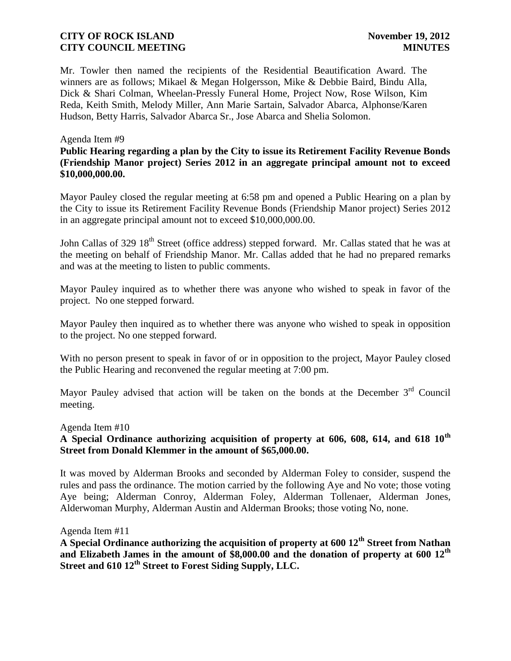Mr. Towler then named the recipients of the Residential Beautification Award. The winners are as follows; Mikael & Megan Holgersson, Mike & Debbie Baird, Bindu Alla, Dick & Shari Colman, Wheelan-Pressly Funeral Home, Project Now, Rose Wilson, Kim Reda, Keith Smith, Melody Miller, Ann Marie Sartain, Salvador Abarca, Alphonse/Karen Hudson, Betty Harris, Salvador Abarca Sr., Jose Abarca and Shelia Solomon.

#### Agenda Item #9

**Public Hearing regarding a plan by the City to issue its Retirement Facility Revenue Bonds (Friendship Manor project) Series 2012 in an aggregate principal amount not to exceed \$10,000,000.00.**

Mayor Pauley closed the regular meeting at 6:58 pm and opened a Public Hearing on a plan by the City to issue its Retirement Facility Revenue Bonds (Friendship Manor project) Series 2012 in an aggregate principal amount not to exceed \$10,000,000.00.

John Callas of 329 18<sup>th</sup> Street (office address) stepped forward. Mr. Callas stated that he was at the meeting on behalf of Friendship Manor. Mr. Callas added that he had no prepared remarks and was at the meeting to listen to public comments.

Mayor Pauley inquired as to whether there was anyone who wished to speak in favor of the project. No one stepped forward.

Mayor Pauley then inquired as to whether there was anyone who wished to speak in opposition to the project. No one stepped forward.

With no person present to speak in favor of or in opposition to the project, Mayor Pauley closed the Public Hearing and reconvened the regular meeting at 7:00 pm.

Mayor Pauley advised that action will be taken on the bonds at the December  $3<sup>rd</sup>$  Council meeting.

#### Agenda Item #10

## **A Special Ordinance authorizing acquisition of property at 606, 608, 614, and 618 10th Street from Donald Klemmer in the amount of \$65,000.00.**

It was moved by Alderman Brooks and seconded by Alderman Foley to consider, suspend the rules and pass the ordinance. The motion carried by the following Aye and No vote; those voting Aye being; Alderman Conroy, Alderman Foley, Alderman Tollenaer, Alderman Jones, Alderwoman Murphy, Alderman Austin and Alderman Brooks; those voting No, none.

#### Agenda Item #11

**A Special Ordinance authorizing the acquisition of property at 600 12th Street from Nathan and Elizabeth James in the amount of \$8,000.00 and the donation of property at 600 12th Street and 610 12th Street to Forest Siding Supply, LLC.**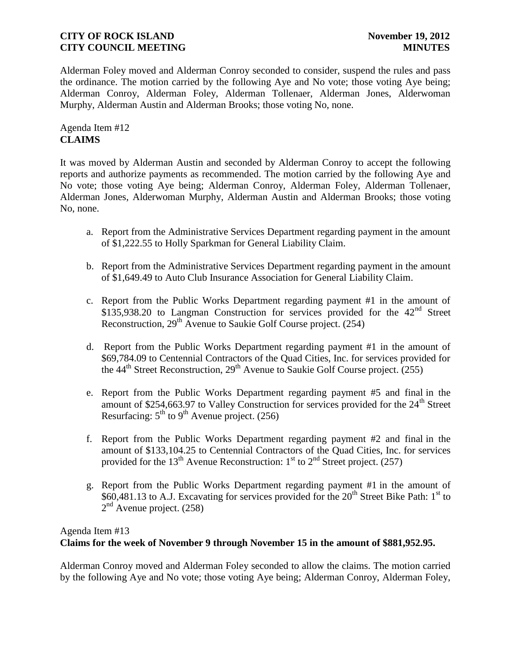Alderman Foley moved and Alderman Conroy seconded to consider, suspend the rules and pass the ordinance. The motion carried by the following Aye and No vote; those voting Aye being; Alderman Conroy, Alderman Foley, Alderman Tollenaer, Alderman Jones, Alderwoman Murphy, Alderman Austin and Alderman Brooks; those voting No, none.

Agenda Item #12 **CLAIMS**

It was moved by Alderman Austin and seconded by Alderman Conroy to accept the following reports and authorize payments as recommended. The motion carried by the following Aye and No vote; those voting Aye being; Alderman Conroy, Alderman Foley, Alderman Tollenaer, Alderman Jones, Alderwoman Murphy, Alderman Austin and Alderman Brooks; those voting No, none.

- a. Report from the Administrative Services Department regarding payment in the amount of \$1,222.55 to Holly Sparkman for General Liability Claim.
- b. Report from the Administrative Services Department regarding payment in the amount of \$1,649.49 to Auto Club Insurance Association for General Liability Claim.
- c. Report from the Public Works Department regarding payment #1 in the amount of \$135,938.20 to Langman Construction for services provided for the  $42<sup>nd</sup>$  Street Reconstruction, 29<sup>th</sup> Avenue to Saukie Golf Course project. (254)
- d. Report from the Public Works Department regarding payment #1 in the amount of \$69,784.09 to Centennial Contractors of the Quad Cities, Inc. for services provided for the  $44<sup>th</sup>$  Street Reconstruction,  $29<sup>th</sup>$  Avenue to Saukie Golf Course project. (255)
- e. Report from the Public Works Department regarding payment #5 and final in the amount of \$254,663.97 to Valley Construction for services provided for the  $24<sup>th</sup>$  Street Resurfacing:  $5<sup>th</sup>$  to  $9<sup>th</sup>$  Avenue project. (256)
- f. Report from the Public Works Department regarding payment #2 and final in the amount of \$133,104.25 to Centennial Contractors of the Quad Cities, Inc. for services provided for the 13<sup>th</sup> Avenue Reconstruction: 1<sup>st</sup> to 2<sup>nd</sup> Street project. (257)
- g. Report from the Public Works Department regarding payment #1 in the amount of \$60,481.13 to A.J. Excavating for services provided for the 20<sup>th</sup> Street Bike Path: 1<sup>st</sup> to 2<sup>nd</sup> Avenue project. (258)

# Agenda Item #13 **Claims for the week of November 9 through November 15 in the amount of \$881,952.95.**

Alderman Conroy moved and Alderman Foley seconded to allow the claims. The motion carried by the following Aye and No vote; those voting Aye being; Alderman Conroy, Alderman Foley,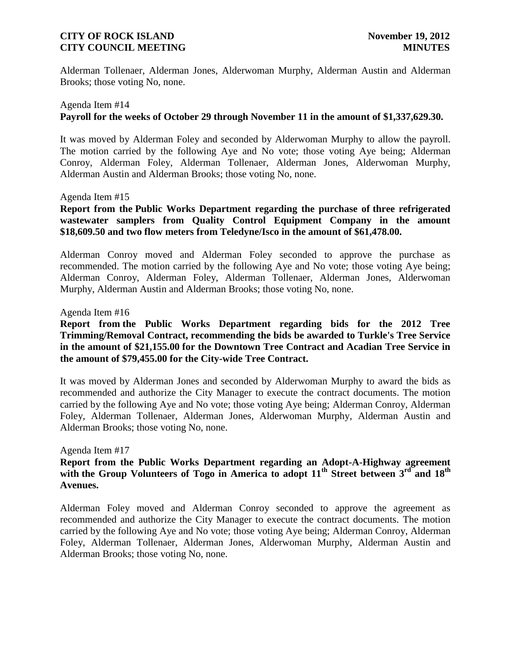Alderman Tollenaer, Alderman Jones, Alderwoman Murphy, Alderman Austin and Alderman Brooks; those voting No, none.

# Agenda Item #14 **Payroll for the weeks of October 29 through November 11 in the amount of \$1,337,629.30.**

It was moved by Alderman Foley and seconded by Alderwoman Murphy to allow the payroll. The motion carried by the following Aye and No vote; those voting Aye being; Alderman Conroy, Alderman Foley, Alderman Tollenaer, Alderman Jones, Alderwoman Murphy, Alderman Austin and Alderman Brooks; those voting No, none.

#### Agenda Item #15

## **Report from the Public Works Department regarding the purchase of three refrigerated wastewater samplers from Quality Control Equipment Company in the amount \$18,609.50 and two flow meters from Teledyne/Isco in the amount of \$61,478.00.**

Alderman Conroy moved and Alderman Foley seconded to approve the purchase as recommended. The motion carried by the following Aye and No vote; those voting Aye being; Alderman Conroy, Alderman Foley, Alderman Tollenaer, Alderman Jones, Alderwoman Murphy, Alderman Austin and Alderman Brooks; those voting No, none.

#### Agenda Item #16

## **Report from the Public Works Department regarding bids for the 2012 Tree Trimming/Removal Contract, recommending the bids be awarded to Turkle's Tree Service in the amount of \$21,155.00 for the Downtown Tree Contract and Acadian Tree Service in the amount of \$79,455.00 for the City-wide Tree Contract.**

It was moved by Alderman Jones and seconded by Alderwoman Murphy to award the bids as recommended and authorize the City Manager to execute the contract documents. The motion carried by the following Aye and No vote; those voting Aye being; Alderman Conroy, Alderman Foley, Alderman Tollenaer, Alderman Jones, Alderwoman Murphy, Alderman Austin and Alderman Brooks; those voting No, none.

#### Agenda Item #17

## **Report from the Public Works Department regarding an Adopt-A-Highway agreement**  with the Group Volunteers of Togo in America to adopt 11<sup>th</sup> Street between 3<sup>rd</sup> and 18<sup>th</sup> **Avenues.**

Alderman Foley moved and Alderman Conroy seconded to approve the agreement as recommended and authorize the City Manager to execute the contract documents. The motion carried by the following Aye and No vote; those voting Aye being; Alderman Conroy, Alderman Foley, Alderman Tollenaer, Alderman Jones, Alderwoman Murphy, Alderman Austin and Alderman Brooks; those voting No, none.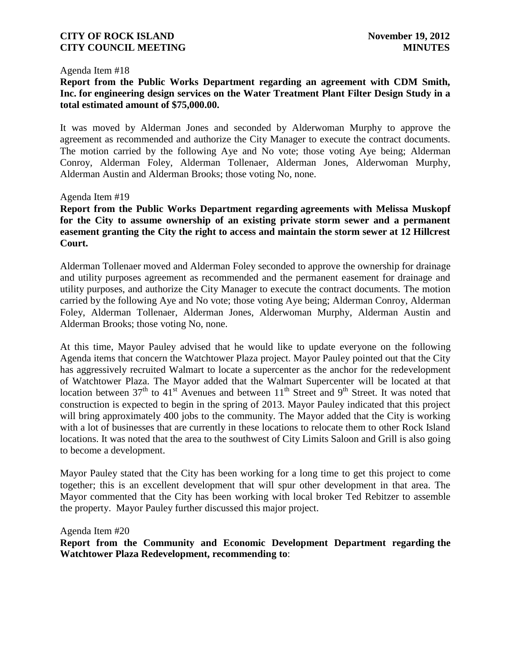#### Agenda Item #18

## **Report from the Public Works Department regarding an agreement with CDM Smith, Inc. for engineering design services on the Water Treatment Plant Filter Design Study in a total estimated amount of \$75,000.00.**

It was moved by Alderman Jones and seconded by Alderwoman Murphy to approve the agreement as recommended and authorize the City Manager to execute the contract documents. The motion carried by the following Aye and No vote; those voting Aye being; Alderman Conroy, Alderman Foley, Alderman Tollenaer, Alderman Jones, Alderwoman Murphy, Alderman Austin and Alderman Brooks; those voting No, none.

#### Agenda Item #19

**Report from the Public Works Department regarding agreements with Melissa Muskopf for the City to assume ownership of an existing private storm sewer and a permanent easement granting the City the right to access and maintain the storm sewer at 12 Hillcrest Court.**

Alderman Tollenaer moved and Alderman Foley seconded to approve the ownership for drainage and utility purposes agreement as recommended and the permanent easement for drainage and utility purposes, and authorize the City Manager to execute the contract documents. The motion carried by the following Aye and No vote; those voting Aye being; Alderman Conroy, Alderman Foley, Alderman Tollenaer, Alderman Jones, Alderwoman Murphy, Alderman Austin and Alderman Brooks; those voting No, none.

At this time, Mayor Pauley advised that he would like to update everyone on the following Agenda items that concern the Watchtower Plaza project. Mayor Pauley pointed out that the City has aggressively recruited Walmart to locate a supercenter as the anchor for the redevelopment of Watchtower Plaza. The Mayor added that the Walmart Supercenter will be located at that location between  $37<sup>th</sup>$  to  $41<sup>st</sup>$  Avenues and between  $11<sup>th</sup>$  Street and 9<sup>th</sup> Street. It was noted that construction is expected to begin in the spring of 2013. Mayor Pauley indicated that this project will bring approximately 400 jobs to the community. The Mayor added that the City is working with a lot of businesses that are currently in these locations to relocate them to other Rock Island locations. It was noted that the area to the southwest of City Limits Saloon and Grill is also going to become a development.

Mayor Pauley stated that the City has been working for a long time to get this project to come together; this is an excellent development that will spur other development in that area. The Mayor commented that the City has been working with local broker Ted Rebitzer to assemble the property. Mayor Pauley further discussed this major project.

Agenda Item #20

**Report from the Community and Economic Development Department regarding the Watchtower Plaza Redevelopment, recommending to**: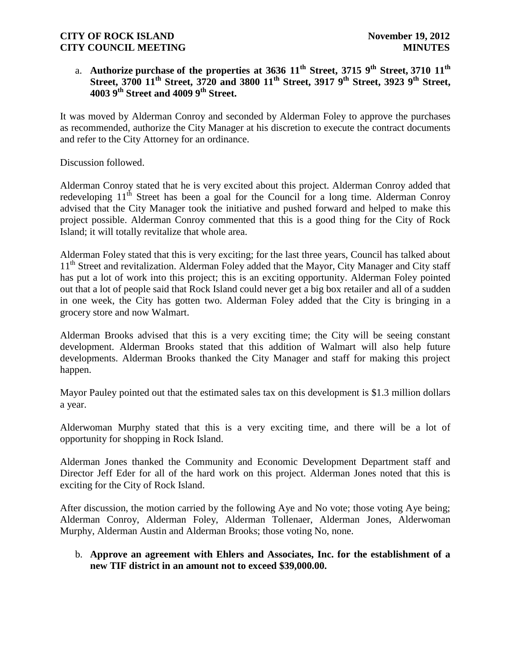# a. **Authorize purchase of the properties at 3636 11th Street, 3715 9th Street, 3710 11th Street, 3700 11th Street, 3720 and 3800 11th Street, 3917 9th Street, 3923 9th Street, 4003 9th Street and 4009 9th Street.**

It was moved by Alderman Conroy and seconded by Alderman Foley to approve the purchases as recommended, authorize the City Manager at his discretion to execute the contract documents and refer to the City Attorney for an ordinance.

Discussion followed.

Alderman Conroy stated that he is very excited about this project. Alderman Conroy added that redeveloping  $11<sup>th</sup>$  Street has been a goal for the Council for a long time. Alderman Conroy advised that the City Manager took the initiative and pushed forward and helped to make this project possible. Alderman Conroy commented that this is a good thing for the City of Rock Island; it will totally revitalize that whole area.

Alderman Foley stated that this is very exciting; for the last three years, Council has talked about 11<sup>th</sup> Street and revitalization. Alderman Foley added that the Mayor, City Manager and City staff has put a lot of work into this project; this is an exciting opportunity. Alderman Foley pointed out that a lot of people said that Rock Island could never get a big box retailer and all of a sudden in one week, the City has gotten two. Alderman Foley added that the City is bringing in a grocery store and now Walmart.

Alderman Brooks advised that this is a very exciting time; the City will be seeing constant development. Alderman Brooks stated that this addition of Walmart will also help future developments. Alderman Brooks thanked the City Manager and staff for making this project happen.

Mayor Pauley pointed out that the estimated sales tax on this development is \$1.3 million dollars a year.

Alderwoman Murphy stated that this is a very exciting time, and there will be a lot of opportunity for shopping in Rock Island.

Alderman Jones thanked the Community and Economic Development Department staff and Director Jeff Eder for all of the hard work on this project. Alderman Jones noted that this is exciting for the City of Rock Island.

After discussion, the motion carried by the following Aye and No vote; those voting Aye being; Alderman Conroy, Alderman Foley, Alderman Tollenaer, Alderman Jones, Alderwoman Murphy, Alderman Austin and Alderman Brooks; those voting No, none.

### b. **Approve an agreement with Ehlers and Associates, Inc. for the establishment of a new TIF district in an amount not to exceed \$39,000.00.**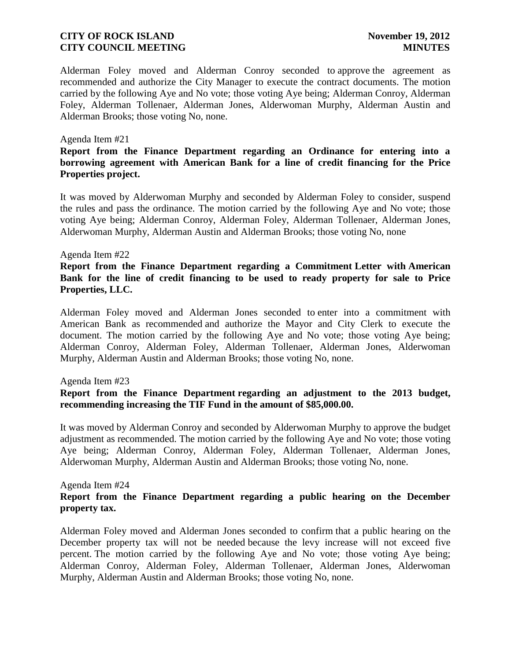Alderman Foley moved and Alderman Conroy seconded to approve the agreement as recommended and authorize the City Manager to execute the contract documents. The motion carried by the following Aye and No vote; those voting Aye being; Alderman Conroy, Alderman Foley, Alderman Tollenaer, Alderman Jones, Alderwoman Murphy, Alderman Austin and Alderman Brooks; those voting No, none.

#### Agenda Item #21

## **Report from the Finance Department regarding an Ordinance for entering into a borrowing agreement with American Bank for a line of credit financing for the Price Properties project.**

It was moved by Alderwoman Murphy and seconded by Alderman Foley to consider, suspend the rules and pass the ordinance. The motion carried by the following Aye and No vote; those voting Aye being; Alderman Conroy, Alderman Foley, Alderman Tollenaer, Alderman Jones, Alderwoman Murphy, Alderman Austin and Alderman Brooks; those voting No, none

#### Agenda Item #22

## **Report from the Finance Department regarding a Commitment Letter with American Bank for the line of credit financing to be used to ready property for sale to Price Properties, LLC.**

Alderman Foley moved and Alderman Jones seconded to enter into a commitment with American Bank as recommended and authorize the Mayor and City Clerk to execute the document. The motion carried by the following Aye and No vote; those voting Aye being; Alderman Conroy, Alderman Foley, Alderman Tollenaer, Alderman Jones, Alderwoman Murphy, Alderman Austin and Alderman Brooks; those voting No, none.

#### Agenda Item #23

### **Report from the Finance Department regarding an adjustment to the 2013 budget, recommending increasing the TIF Fund in the amount of \$85,000.00.**

It was moved by Alderman Conroy and seconded by Alderwoman Murphy to approve the budget adjustment as recommended. The motion carried by the following Aye and No vote; those voting Aye being; Alderman Conroy, Alderman Foley, Alderman Tollenaer, Alderman Jones, Alderwoman Murphy, Alderman Austin and Alderman Brooks; those voting No, none.

#### Agenda Item #24

#### **Report from the Finance Department regarding a public hearing on the December property tax.**

Alderman Foley moved and Alderman Jones seconded to confirm that a public hearing on the December property tax will not be needed because the levy increase will not exceed five percent. The motion carried by the following Aye and No vote; those voting Aye being; Alderman Conroy, Alderman Foley, Alderman Tollenaer, Alderman Jones, Alderwoman Murphy, Alderman Austin and Alderman Brooks; those voting No, none.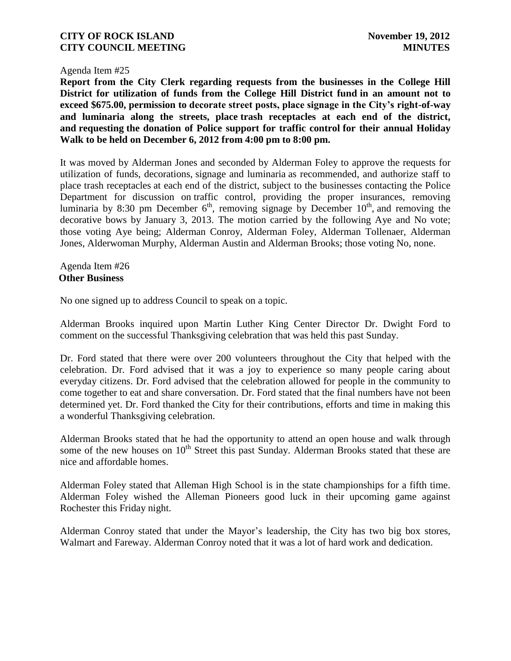#### Agenda Item #25

**Report from the City Clerk regarding requests from the businesses in the College Hill District for utilization of funds from the College Hill District fund in an amount not to exceed \$675.00, permission to decorate street posts, place signage in the City's right-of-way and luminaria along the streets, place trash receptacles at each end of the district, and requesting the donation of Police support for traffic control for their annual Holiday Walk to be held on December 6, 2012 from 4:00 pm to 8:00 pm.**

It was moved by Alderman Jones and seconded by Alderman Foley to approve the requests for utilization of funds, decorations, signage and luminaria as recommended, and authorize staff to place trash receptacles at each end of the district, subject to the businesses contacting the Police Department for discussion on traffic control, providing the proper insurances, removing luminaria by 8:30 pm December  $6<sup>th</sup>$ , removing signage by December 10<sup>th</sup>, and removing the decorative bows by January 3, 2013. The motion carried by the following Aye and No vote; those voting Aye being; Alderman Conroy, Alderman Foley, Alderman Tollenaer, Alderman Jones, Alderwoman Murphy, Alderman Austin and Alderman Brooks; those voting No, none.

Agenda Item #26 **Other Business**

No one signed up to address Council to speak on a topic.

Alderman Brooks inquired upon Martin Luther King Center Director Dr. Dwight Ford to comment on the successful Thanksgiving celebration that was held this past Sunday.

Dr. Ford stated that there were over 200 volunteers throughout the City that helped with the celebration. Dr. Ford advised that it was a joy to experience so many people caring about everyday citizens. Dr. Ford advised that the celebration allowed for people in the community to come together to eat and share conversation. Dr. Ford stated that the final numbers have not been determined yet. Dr. Ford thanked the City for their contributions, efforts and time in making this a wonderful Thanksgiving celebration.

Alderman Brooks stated that he had the opportunity to attend an open house and walk through some of the new houses on  $10<sup>th</sup>$  Street this past Sunday. Alderman Brooks stated that these are nice and affordable homes.

Alderman Foley stated that Alleman High School is in the state championships for a fifth time. Alderman Foley wished the Alleman Pioneers good luck in their upcoming game against Rochester this Friday night.

Alderman Conroy stated that under the Mayor's leadership, the City has two big box stores, Walmart and Fareway. Alderman Conroy noted that it was a lot of hard work and dedication.